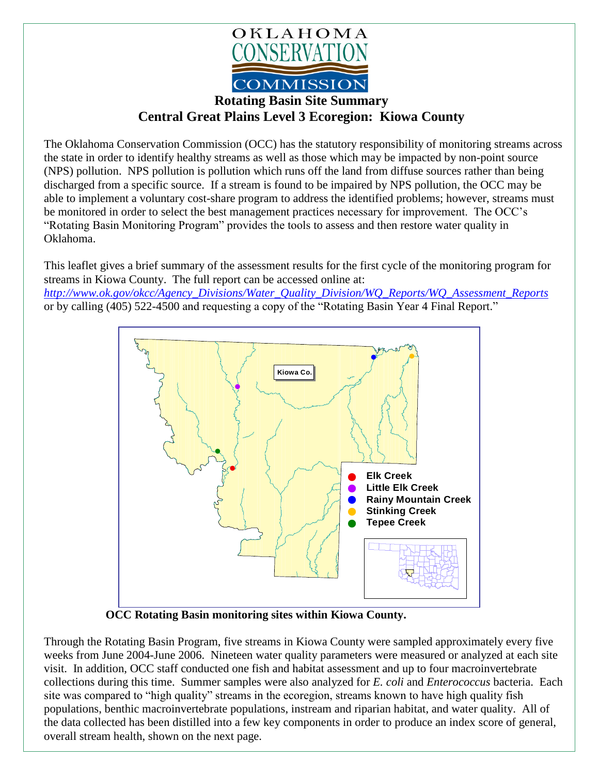

## **Rotating Basin Site Summary Central Great Plains Level 3 Ecoregion: Kiowa County**

The Oklahoma Conservation Commission (OCC) has the statutory responsibility of monitoring streams across the state in order to identify healthy streams as well as those which may be impacted by non-point source (NPS) pollution. NPS pollution is pollution which runs off the land from diffuse sources rather than being discharged from a specific source. If a stream is found to be impaired by NPS pollution, the OCC may be able to implement a voluntary cost-share program to address the identified problems; however, streams must be monitored in order to select the best management practices necessary for improvement. The OCC's "Rotating Basin Monitoring Program" provides the tools to assess and then restore water quality in Oklahoma.

This leaflet gives a brief summary of the assessment results for the first cycle of the monitoring program for streams in Kiowa County. The full report can be accessed online at: *[http://www.ok.gov/okcc/Agency\\_Divisions/Water\\_Quality\\_Division/WQ\\_Reports/WQ\\_Assessment\\_Reports](http://www.ok.gov/okcc/Agency_Divisions/Water_Quality_Division/WQ_Reports/WQ_Assessment_Reports)* or by calling (405) 522-4500 and requesting a copy of the "Rotating Basin Year 4 Final Report."



**OCC Rotating Basin monitoring sites within Kiowa County.**

Through the Rotating Basin Program, five streams in Kiowa County were sampled approximately every five weeks from June 2004-June 2006. Nineteen water quality parameters were measured or analyzed at each site visit. In addition, OCC staff conducted one fish and habitat assessment and up to four macroinvertebrate collections during this time. Summer samples were also analyzed for *E. coli* and *Enterococcus* bacteria. Each site was compared to "high quality" streams in the ecoregion, streams known to have high quality fish populations, benthic macroinvertebrate populations, instream and riparian habitat, and water quality. All of the data collected has been distilled into a few key components in order to produce an index score of general, overall stream health, shown on the next page.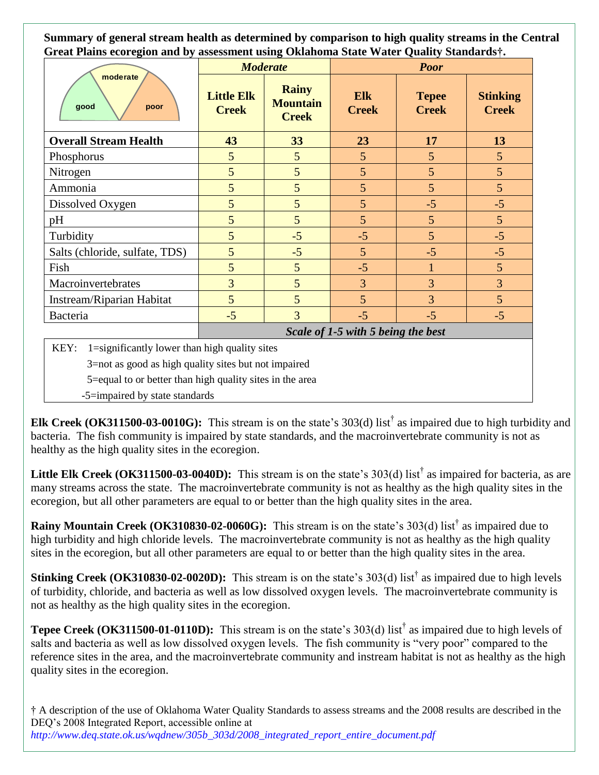**Summary of general stream health as determined by comparison to high quality streams in the Central Great Plains ecoregion and by assessment using Oklahoma State Water Quality Standards†.**

| moderate<br>good<br>poor                               | <b>Moderate</b>                    |                                                 | <b>Poor</b>         |                              |                                 |
|--------------------------------------------------------|------------------------------------|-------------------------------------------------|---------------------|------------------------------|---------------------------------|
|                                                        | <b>Little Elk</b><br><b>Creek</b>  | <b>Rainy</b><br><b>Mountain</b><br><b>Creek</b> | Elk<br><b>Creek</b> | <b>Tepee</b><br><b>Creek</b> | <b>Stinking</b><br><b>Creek</b> |
| <b>Overall Stream Health</b>                           | 43                                 | 33                                              | 23                  | 17                           | 13                              |
| Phosphorus                                             | 5                                  | 5                                               | 5                   | 5                            | 5                               |
| Nitrogen                                               | 5                                  | 5                                               | 5                   | 5                            | 5                               |
| Ammonia                                                | 5                                  | 5                                               | 5                   | 5                            | 5                               |
| Dissolved Oxygen                                       | 5                                  | 5                                               | 5                   | $-5$                         | $-5$                            |
| pH                                                     | 5                                  | 5                                               | 5                   | 5                            | 5                               |
| Turbidity                                              | 5                                  | $-5$                                            | $-5$                | 5                            | $-5$                            |
| Salts (chloride, sulfate, TDS)                         | 5                                  | $-5$                                            | $5\overline{)}$     | $-5$                         | $-5$                            |
| Fish                                                   | 5                                  | 5                                               | $-5$                | 1                            | 5                               |
| Macroinvertebrates                                     | 3                                  | $5\overline{)}$                                 | $\overline{3}$      | 3                            | $\overline{3}$                  |
| Instream/Riparian Habitat                              | 5                                  | 5                                               | 5                   | 3                            | 5                               |
| Bacteria                                               | $-5$                               | $\overline{3}$                                  | $-5$                | $-5$                         | $-5$                            |
|                                                        | Scale of 1-5 with 5 being the best |                                                 |                     |                              |                                 |
| KEY: $1 =$ significantly lower than high quality sites |                                    |                                                 |                     |                              |                                 |

KEY: 1=significantly lower than high quality sites

3=not as good as high quality sites but not impaired

5=equal to or better than high quality sites in the area

-5=impaired by state standards

**Elk Creek (OK311500-03-0010G):** This stream is on the state's 303(d) list† as impaired due to high turbidity and bacteria. The fish community is impaired by state standards, and the macroinvertebrate community is not as healthy as the high quality sites in the ecoregion.

**Little Elk Creek (OK311500-03-0040D):** This stream is on the state's  $303(d)$  list<sup>†</sup> as impaired for bacteria, as are many streams across the state. The macroinvertebrate community is not as healthy as the high quality sites in the ecoregion, but all other parameters are equal to or better than the high quality sites in the area.

**Rainy Mountain Creek (OK310830-02-0060G):** This stream is on the state's 303(d) list<sup>†</sup> as impaired due to high turbidity and high chloride levels. The macroinvertebrate community is not as healthy as the high quality sites in the ecoregion, but all other parameters are equal to or better than the high quality sites in the area.

**Stinking Creek** (**OK310830-02-0020D**): This stream is on the state's 303(d) list<sup>†</sup> as impaired due to high levels of turbidity, chloride, and bacteria as well as low dissolved oxygen levels. The macroinvertebrate community is not as healthy as the high quality sites in the ecoregion.

**Tepee Creek (OK311500-01-0110D):** This stream is on the state's 303(d) list† as impaired due to high levels of salts and bacteria as well as low dissolved oxygen levels. The fish community is "very poor" compared to the reference sites in the area, and the macroinvertebrate community and instream habitat is not as healthy as the high quality sites in the ecoregion.

† A description of the use of Oklahoma Water Quality Standards to assess streams and the 2008 results are described in the DEQ's 2008 Integrated Report, accessible online at *http://www.deq.state.ok.us/wqdnew/305b\_303d/2008\_integrated\_report\_entire\_document.pdf*